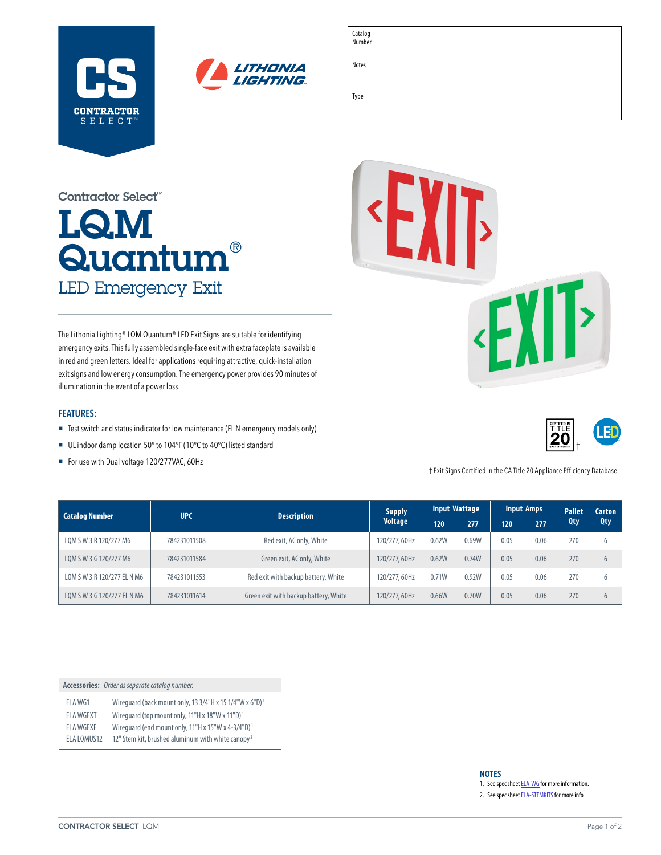



| ۰ |  |  |  |
|---|--|--|--|
|   |  |  |  |

Type

Catalog Number

Notes

# LQM  ${\sf Quantum}^\circ$ LED Emergency Exit Contractor Select™

The Lithonia Lighting® LQM Quantum® LED Exit Signs are suitable for identifying emergency exits. This fully assembled single-face exit with extra faceplate is available in red and green letters. Ideal for applications requiring attractive, quick-installation exit signs and low energy consumption. The emergency power provides 90 minutes of illumination in the event of a power loss.

### **FEATURES:**

- Test switch and status indicator for low maintenance (ELN emergency models only)
- UL indoor damp location 50° to 104°F (10°C to 40°C) listed standard
- For use with Dual voltage 120/277VAC, 60Hz





| <b>Catalog Number</b>       | <b>UPC</b>   | <b>Description</b>                    | Supply<br><b>Voltage</b> | <b>Input Wattage</b> |       | <b>Input Amps</b> |      | <b>Pallet</b> | <b>Carton</b> |
|-----------------------------|--------------|---------------------------------------|--------------------------|----------------------|-------|-------------------|------|---------------|---------------|
|                             |              |                                       |                          | 120                  | 277   | 120               | 277  | <b>Qty</b>    | Qty           |
| LOM S W 3 R 120/277 M6      | 784231011508 | Red exit, AC only, White              | 120/277, 60Hz            | 0.62W                | 0.69W | 0.05              | 0.06 | 270           |               |
| LOM S W 3 G 120/277 M6      | 784231011584 | Green exit, AC only, White            | 120/277, 60Hz            | 0.62W                | 0.74W | 0.05              | 0.06 | 270           |               |
| LOM S W 3 R 120/277 EL N M6 | 784231011553 | Red exit with backup battery, White   | 120/277, 60Hz            | 0.71W                | 0.92W | 0.05              | 0.06 | 270           |               |
| LOM S W 3 G 120/277 EL N M6 | 784231011614 | Green exit with backup battery, White | 120/277, 60Hz            | 0.66W                | 0.70W | 0.05              | 0.06 | 270           |               |

|             | Accessories: Order as separate catalog number.                        |
|-------------|-----------------------------------------------------------------------|
| ELA WG1     | Wirequard (back mount only, 13 3/4"H x 15 1/4"W x 6"D) <sup>1</sup>   |
| ELA WGEXT   | Wirequard (top mount only, $11''H$ x $18''W$ x $11''D$ ) <sup>1</sup> |
| FI A WGFXF  | Wirequard (end mount only, 11"H x 15"W x 4-3/4"D) <sup>1</sup>        |
| ELA LOMUS12 | 12" Stem kit, brushed aluminum with white canopy <sup>2</sup>         |

#### **NOTES**

1. See spec sheet **ELA-WG** for more information.

2. See spec sheet **ELA-STEMKITS** for more info.